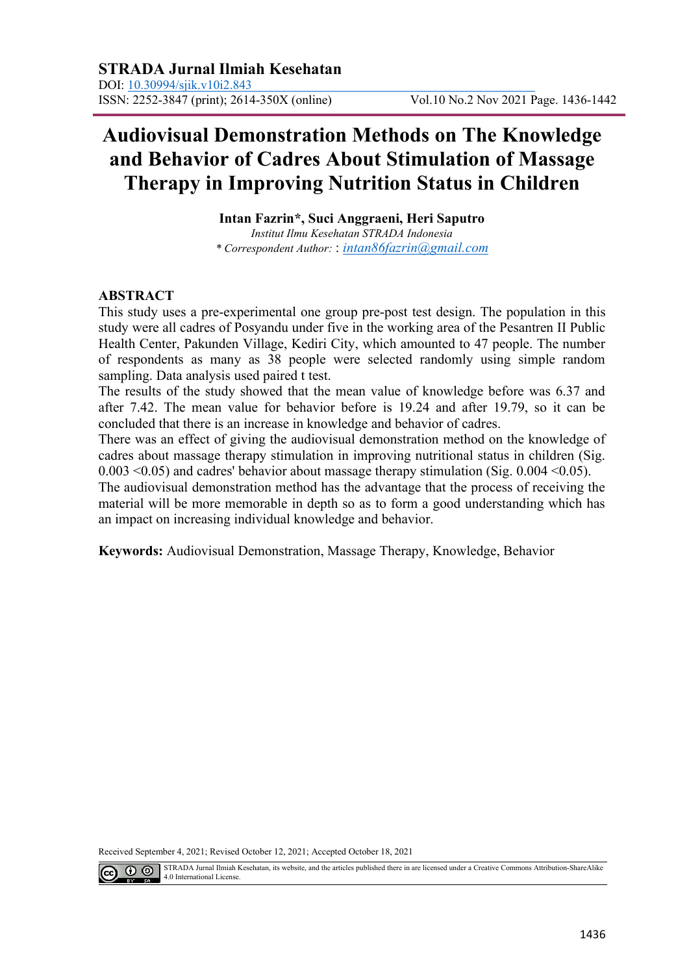# **Audiovisual Demonstration Methods on The Knowledge and Behavior of Cadres About Stimulation of Massage Therapy in Improving Nutrition Status in Children**

**Intan Fazrin\*, Suci Anggraeni, Heri Saputro** *Institut Ilmu Kesehatan STRADA Indonesia \* Correspondent Author:* : *[intan86fazrin@gmail.com](mailto:intan86fazrin@gmail.com)*

### **ABSTRACT**

This study uses a pre-experimental one group pre-post test design. The population in this study were all cadres of Posyandu under five in the working area of the Pesantren II Public Health Center, Pakunden Village, Kediri City, which amounted to 47 people. The number of respondents as many as 38 people were selected randomly using simple random sampling. Data analysis used paired t test.

The results of the study showed that the mean value of knowledge before was 6.37 and after 7.42. The mean value for behavior before is 19.24 and after 19.79, so it can be concluded that there is an increase in knowledge and behavior of cadres.

There was an effect of giving the audiovisual demonstration method on the knowledge of cadres about massage therapy stimulation in improving nutritional status in children (Sig.  $0.003 \le 0.05$ ) and cadres' behavior about massage therapy stimulation (Sig.  $0.004 \le 0.05$ ).

The audiovisual demonstration method has the advantage that the process of receiving the material will be more memorable in depth so as to form a good understanding which has an impact on increasing individual knowledge and behavior.

**Keywords:** Audiovisual Demonstration, Massage Therapy, Knowledge, Behavior

Received September 4, 2021; Revised October 12, 2021; Accepted October 18, 2021



STRADA Jurnal Ilmiah Kesehatan, its website, and the articles published there in are licensed under a Creative Commons Attribution-ShareAlike 4.0 International License.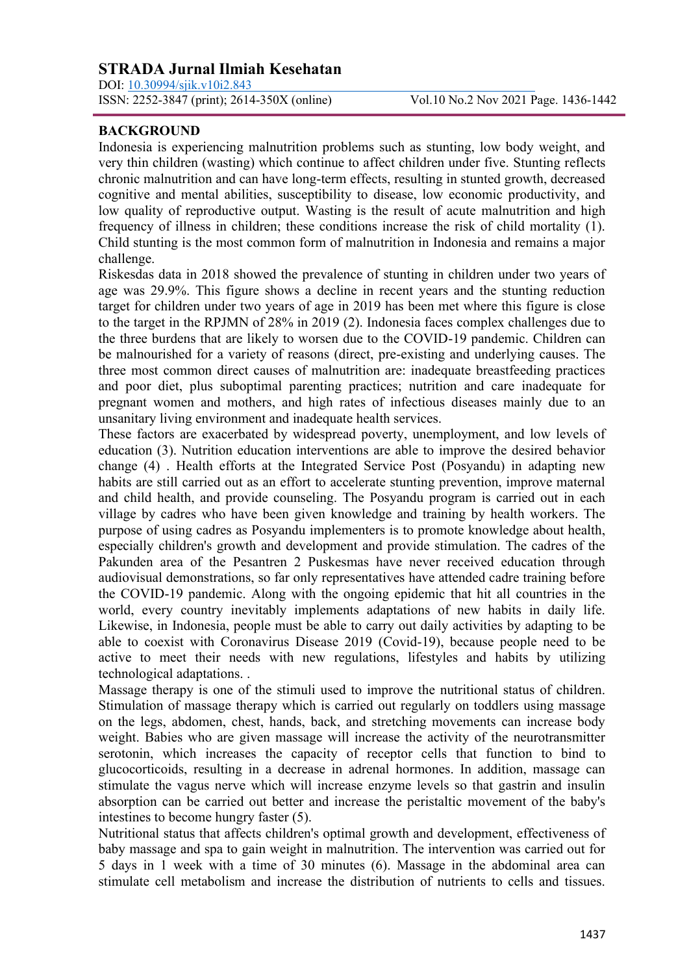DOI: [10.30994/sjik.v10i2.843](https://doi.org/10.30994/sjik.v10i2.843)

### **BACKGROUND**

Indonesia is experiencing malnutrition problems such as stunting, low body weight, and very thin children (wasting) which continue to affect children under five. Stunting reflects chronic malnutrition and can have long-term effects, resulting in stunted growth, decreased cognitive and mental abilities, susceptibility to disease, low economic productivity, and low quality of reproductive output. Wasting is the result of acute malnutrition and high frequency of illness in children; these conditions increase the risk of child mortality (1). Child stunting is the most common form of malnutrition in Indonesia and remains a major challenge.

Riskesdas data in 2018 showed the prevalence of stunting in children under two years of age was 29.9%. This figure shows a decline in recent years and the stunting reduction target for children under two years of age in 2019 has been met where this figure is close to the target in the RPJMN of 28% in 2019 (2). Indonesia faces complex challenges due to the three burdens that are likely to worsen due to the COVID-19 pandemic. Children can be malnourished for a variety of reasons (direct, pre-existing and underlying causes. The three most common direct causes of malnutrition are: inadequate breastfeeding practices and poor diet, plus suboptimal parenting practices; nutrition and care inadequate for pregnant women and mothers, and high rates of infectious diseases mainly due to an unsanitary living environment and inadequate health services.

These factors are exacerbated by widespread poverty, unemployment, and low levels of education (3). Nutrition education interventions are able to improve the desired behavior change (4) . Health efforts at the Integrated Service Post (Posyandu) in adapting new habits are still carried out as an effort to accelerate stunting prevention, improve maternal and child health, and provide counseling. The Posyandu program is carried out in each village by cadres who have been given knowledge and training by health workers. The purpose of using cadres as Posyandu implementers is to promote knowledge about health, especially children's growth and development and provide stimulation. The cadres of the Pakunden area of the Pesantren 2 Puskesmas have never received education through audiovisual demonstrations, so far only representatives have attended cadre training before the COVID-19 pandemic. Along with the ongoing epidemic that hit all countries in the world, every country inevitably implements adaptations of new habits in daily life. Likewise, in Indonesia, people must be able to carry out daily activities by adapting to be able to coexist with Coronavirus Disease 2019 (Covid-19), because people need to be active to meet their needs with new regulations, lifestyles and habits by utilizing technological adaptations. .

Massage therapy is one of the stimuli used to improve the nutritional status of children. Stimulation of massage therapy which is carried out regularly on toddlers using massage on the legs, abdomen, chest, hands, back, and stretching movements can increase body weight. Babies who are given massage will increase the activity of the neurotransmitter serotonin, which increases the capacity of receptor cells that function to bind to glucocorticoids, resulting in a decrease in adrenal hormones. In addition, massage can stimulate the vagus nerve which will increase enzyme levels so that gastrin and insulin absorption can be carried out better and increase the peristaltic movement of the baby's intestines to become hungry faster (5).

Nutritional status that affects children's optimal growth and development, effectiveness of baby massage and spa to gain weight in malnutrition. The intervention was carried out for 5 days in 1 week with a time of 30 minutes (6). Massage in the abdominal area can stimulate cell metabolism and increase the distribution of nutrients to cells and tissues.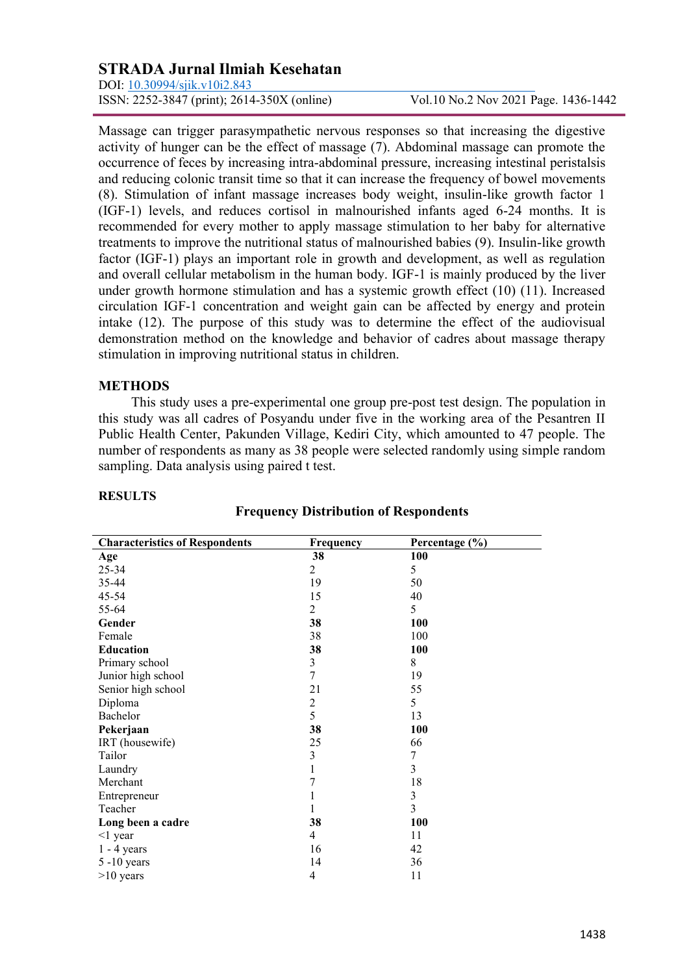DOI: [10.30994/sjik.v10i2.843](https://doi.org/10.30994/sjik.v10i2.843)

ISSN: 2252-3847 (print); 2614-350X (online) Vol.10 No.2 Nov 2021 Page. 1436-1442

Massage can trigger parasympathetic nervous responses so that increasing the digestive activity of hunger can be the effect of massage (7). Abdominal massage can promote the occurrence of feces by increasing intra-abdominal pressure, increasing intestinal peristalsis and reducing colonic transit time so that it can increase the frequency of bowel movements (8). Stimulation of infant massage increases body weight, insulin-like growth factor 1 (IGF-1) levels, and reduces cortisol in malnourished infants aged 6-24 months. It is recommended for every mother to apply massage stimulation to her baby for alternative treatments to improve the nutritional status of malnourished babies (9). Insulin-like growth factor (IGF-1) plays an important role in growth and development, as well as regulation and overall cellular metabolism in the human body. IGF-1 is mainly produced by the liver under growth hormone stimulation and has a systemic growth effect (10) (11). Increased circulation IGF-1 concentration and weight gain can be affected by energy and protein intake (12). The purpose of this study was to determine the effect of the audiovisual demonstration method on the knowledge and behavior of cadres about massage therapy stimulation in improving nutritional status in children.

### **METHODS**

This study uses a pre-experimental one group pre-post test design. The population in this study was all cadres of Posyandu under five in the working area of the Pesantren II Public Health Center, Pakunden Village, Kediri City, which amounted to 47 people. The number of respondents as many as 38 people were selected randomly using simple random sampling. Data analysis using paired t test.

| <b>Characteristics of Respondents</b> | Frequency      | Percentage (%) |  |  |
|---------------------------------------|----------------|----------------|--|--|
| Age                                   | 38             | <b>100</b>     |  |  |
| $25 - 34$                             | 2              | 5              |  |  |
| 35-44                                 | 19             | 50             |  |  |
| 45-54                                 | 15             | 40             |  |  |
| 55-64                                 | $\overline{2}$ | 5              |  |  |
| Gender                                | 38             | 100            |  |  |
| Female                                | 38             | 100            |  |  |
| <b>Education</b>                      | 38             | 100            |  |  |
| Primary school                        | 3              | 8              |  |  |
| Junior high school                    | $\sqrt{ }$     | 19             |  |  |
| Senior high school                    | 21             | 55             |  |  |
| Diploma                               | $\overline{c}$ | 5              |  |  |
| Bachelor                              | 5              | 13             |  |  |
| Pekerjaan                             | 38             | 100            |  |  |
| IRT (housewife)                       | 25             | 66             |  |  |
| Tailor                                | 3              | 7              |  |  |
| Laundry                               | $\,1$          | 3              |  |  |
| Merchant                              | 7              | 18             |  |  |
| Entrepreneur                          | $\mathbf{1}$   | 3              |  |  |
| Teacher                               | $\mathbf{1}$   | 3              |  |  |
| Long been a cadre                     | 38             | 100            |  |  |
| $<$ 1 year                            | 4              | 11             |  |  |
| $1 - 4$ years                         | 16             | 42             |  |  |
| $5 - 10$ years                        | 14             | 36             |  |  |
| $>10$ years                           | $\overline{4}$ | 11             |  |  |

#### **RESULTS**

# **Frequency Distribution of Respondents**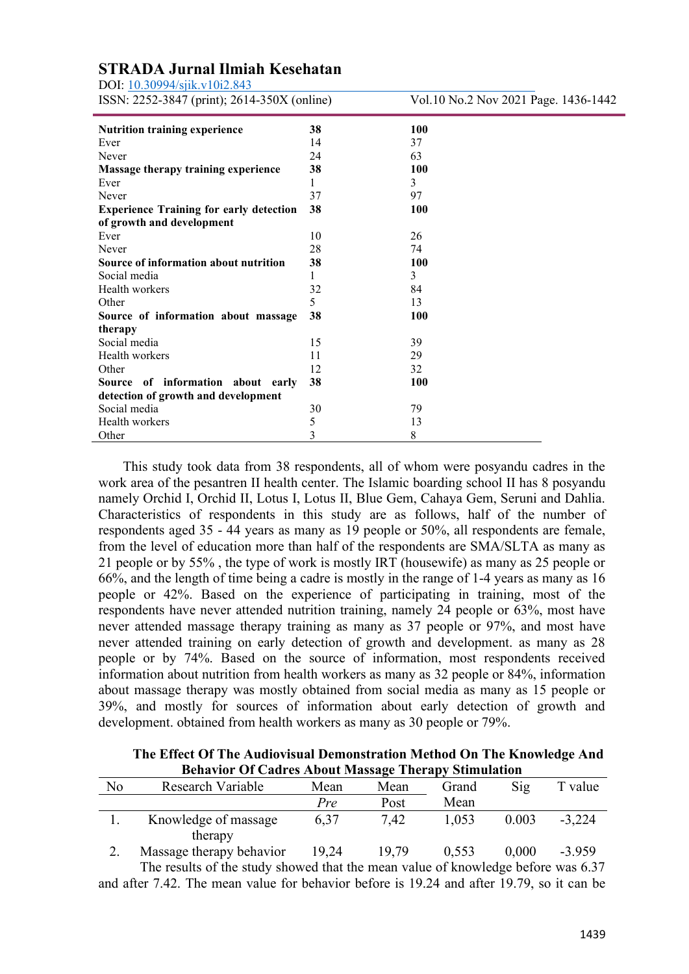DOI: [10.30994/sjik.v10i2.843](https://doi.org/10.30994/sjik.v10i2.843)

ISSN: 2252-3847 (print); 2614-350X (online) Vol.10 No.2 Nov 2021 Page. 1436-1442

| <b>Nutrition training experience</b>           | 38 | 100        |
|------------------------------------------------|----|------------|
| Ever                                           | 14 | 37         |
| Never                                          | 24 | 63         |
| Massage therapy training experience            | 38 | 100        |
| Ever                                           | 1  | 3          |
| Never                                          | 37 | 97         |
| <b>Experience Training for early detection</b> | 38 | <b>100</b> |
| of growth and development                      |    |            |
| Ever                                           | 10 | 26         |
| Never                                          | 28 | 74         |
| Source of information about nutrition          | 38 | <b>100</b> |
| Social media                                   | 1  | 3          |
| Health workers                                 | 32 | 84         |
| Other                                          | 5. | 13         |
| Source of information about massage            | 38 | <b>100</b> |
| therapy                                        |    |            |
| Social media                                   | 15 | 39         |
| Health workers                                 | 11 | 29         |
| Other                                          | 12 | 32         |
| Source of information about early              | 38 | 100        |
| detection of growth and development            |    |            |
| Social media                                   | 30 | 79         |
| Health workers                                 | 5  | 13         |
| Other                                          | 3  | 8          |

This study took data from 38 respondents, all of whom were posyandu cadres in the work area of the pesantren II health center. The Islamic boarding school II has 8 posyandu namely Orchid I, Orchid II, Lotus I, Lotus II, Blue Gem, Cahaya Gem, Seruni and Dahlia. Characteristics of respondents in this study are as follows, half of the number of respondents aged 35 - 44 years as many as 19 people or 50%, all respondents are female, from the level of education more than half of the respondents are SMA/SLTA as many as 21 people or by 55% , the type of work is mostly IRT (housewife) as many as 25 people or 66%, and the length of time being a cadre is mostly in the range of 1-4 years as many as 16 people or 42%. Based on the experience of participating in training, most of the respondents have never attended nutrition training, namely 24 people or 63%, most have never attended massage therapy training as many as 37 people or 97%, and most have never attended training on early detection of growth and development. as many as 28 people or by 74%. Based on the source of information, most respondents received information about nutrition from health workers as many as 32 people or 84%, information about massage therapy was mostly obtained from social media as many as 15 people or 39%, and mostly for sources of information about early detection of growth and development. obtained from health workers as many as 30 people or 79%.

**The Effect Of The Audiovisual Demonstration Method On The Knowledge And Behavior Of Cadres About Massage Therapy Stimulation** 

| Denwiser of Caurel Hought Himpshire Thermo |                          |       |       |       |                |          |  |  |  |  |
|--------------------------------------------|--------------------------|-------|-------|-------|----------------|----------|--|--|--|--|
| No                                         | Research Variable        | Mean  | Mean  | Grand | $\mathrm{Sig}$ | T value  |  |  |  |  |
|                                            |                          | Pre   | Post  | Mean  |                |          |  |  |  |  |
|                                            | Knowledge of massage     | 6,37  | 7.42  | 1,053 | 0.003          | $-3,224$ |  |  |  |  |
|                                            | therapy                  |       |       |       |                |          |  |  |  |  |
|                                            | Massage therapy behavior | 19,24 | 19.79 | 0.553 | 0,000          | $-3.959$ |  |  |  |  |

The results of the study showed that the mean value of knowledge before was 6.37 and after 7.42. The mean value for behavior before is 19.24 and after 19.79, so it can be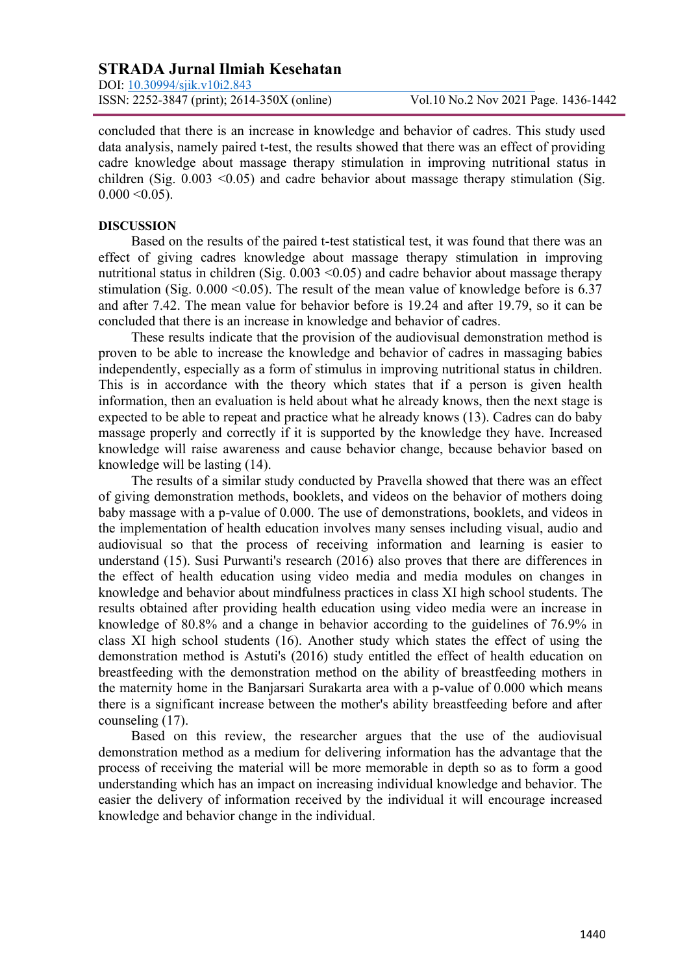DOI: [10.30994/sjik.v10i2.843](https://doi.org/10.30994/sjik.v10i2.843) ISSN: 2252-3847 (print); 2614-350X (online) Vol.10 No.2 Nov 2021 Page. 1436-1442

concluded that there is an increase in knowledge and behavior of cadres. This study used data analysis, namely paired t-test, the results showed that there was an effect of providing cadre knowledge about massage therapy stimulation in improving nutritional status in children (Sig.  $0.003 \le 0.05$ ) and cadre behavior about massage therapy stimulation (Sig.  $0.000 \le 0.05$ ).

#### **DISCUSSION**

Based on the results of the paired t-test statistical test, it was found that there was an effect of giving cadres knowledge about massage therapy stimulation in improving nutritional status in children (Sig.  $0.003 \le 0.05$ ) and cadre behavior about massage therapy stimulation (Sig.  $0.000 \le 0.05$ ). The result of the mean value of knowledge before is 6.37 and after 7.42. The mean value for behavior before is 19.24 and after 19.79, so it can be concluded that there is an increase in knowledge and behavior of cadres.

These results indicate that the provision of the audiovisual demonstration method is proven to be able to increase the knowledge and behavior of cadres in massaging babies independently, especially as a form of stimulus in improving nutritional status in children. This is in accordance with the theory which states that if a person is given health information, then an evaluation is held about what he already knows, then the next stage is expected to be able to repeat and practice what he already knows (13). Cadres can do baby massage properly and correctly if it is supported by the knowledge they have. Increased knowledge will raise awareness and cause behavior change, because behavior based on knowledge will be lasting (14).

The results of a similar study conducted by Pravella showed that there was an effect of giving demonstration methods, booklets, and videos on the behavior of mothers doing baby massage with a p-value of 0.000. The use of demonstrations, booklets, and videos in the implementation of health education involves many senses including visual, audio and audiovisual so that the process of receiving information and learning is easier to understand (15). Susi Purwanti's research (2016) also proves that there are differences in the effect of health education using video media and media modules on changes in knowledge and behavior about mindfulness practices in class XI high school students. The results obtained after providing health education using video media were an increase in knowledge of 80.8% and a change in behavior according to the guidelines of 76.9% in class XI high school students (16). Another study which states the effect of using the demonstration method is Astuti's (2016) study entitled the effect of health education on breastfeeding with the demonstration method on the ability of breastfeeding mothers in the maternity home in the Banjarsari Surakarta area with a p-value of 0.000 which means there is a significant increase between the mother's ability breastfeeding before and after counseling (17).

Based on this review, the researcher argues that the use of the audiovisual demonstration method as a medium for delivering information has the advantage that the process of receiving the material will be more memorable in depth so as to form a good understanding which has an impact on increasing individual knowledge and behavior. The easier the delivery of information received by the individual it will encourage increased knowledge and behavior change in the individual.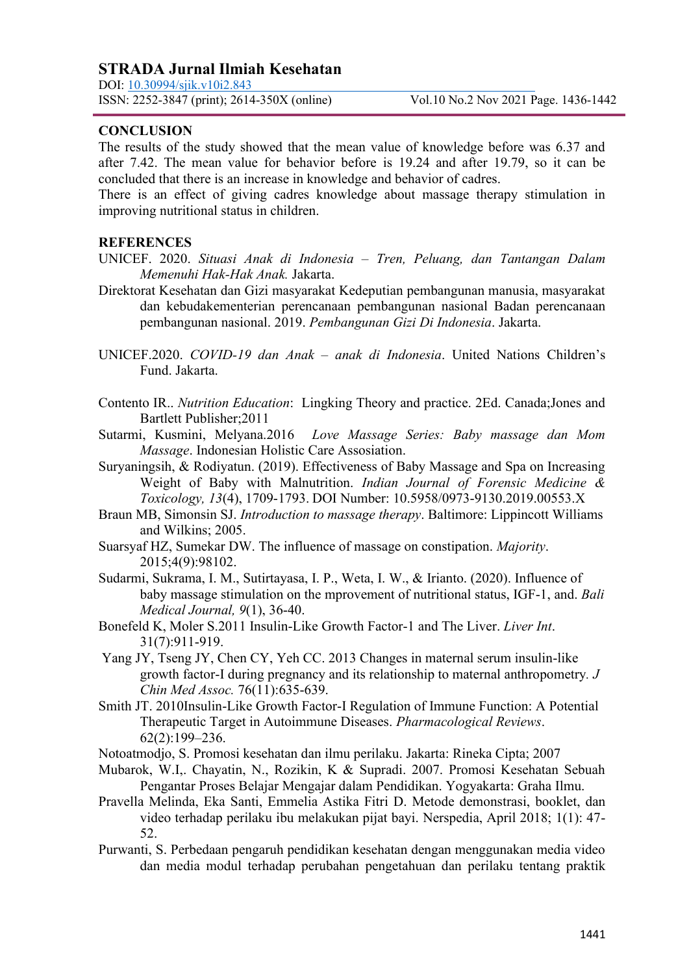DOI: [10.30994/sjik.v10i2.843](https://doi.org/10.30994/sjik.v10i2.843)

### **CONCLUSION**

The results of the study showed that the mean value of knowledge before was 6.37 and after 7.42. The mean value for behavior before is 19.24 and after 19.79, so it can be concluded that there is an increase in knowledge and behavior of cadres.

There is an effect of giving cadres knowledge about massage therapy stimulation in improving nutritional status in children.

#### **REFERENCES**

- UNICEF. 2020. *Situasi Anak di Indonesia – Tren, Peluang, dan Tantangan Dalam Memenuhi Hak-Hak Anak.* Jakarta.
- Direktorat Kesehatan dan Gizi masyarakat Kedeputian pembangunan manusia, masyarakat dan kebudakementerian perencanaan pembangunan nasional Badan perencanaan pembangunan nasional. 2019. *Pembangunan Gizi Di Indonesia*. Jakarta.
- UNICEF.2020. *COVID-19 dan Anak – anak di Indonesia*. United Nations Children's Fund. Jakarta.
- Contento IR.. *Nutrition Education*: Lingking Theory and practice. 2Ed. Canada;Jones and Bartlett Publisher;2011
- Sutarmi, Kusmini, Melyana.2016 *Love Massage Series: Baby massage dan Mom Massage*. Indonesian Holistic Care Assosiation.
- Suryaningsih, & Rodiyatun. (2019). Effectiveness of Baby Massage and Spa on Increasing Weight of Baby with Malnutrition. *Indian Journal of Forensic Medicine & Toxicology, 13*(4), 1709-1793. DOI Number: 10.5958/0973-9130.2019.00553.X
- Braun MB, Simonsin SJ. *Introduction to massage therapy*. Baltimore: Lippincott Williams and Wilkins; 2005.
- Suarsyaf HZ, Sumekar DW. The influence of massage on constipation. *Majority*. 2015;4(9):98102.
- Sudarmi, Sukrama, I. M., Sutirtayasa, I. P., Weta, I. W., & Irianto. (2020). Influence of baby massage stimulation on the mprovement of nutritional status, IGF-1, and. *Bali Medical Journal, 9*(1), 36-40.
- Bonefeld K, Moler S.2011 Insulin-Like Growth Factor-1 and The Liver. *Liver Int*. 31(7):911-919.
- Yang JY, Tseng JY, Chen CY, Yeh CC. 2013 Changes in maternal serum insulin-like growth factor-I during pregnancy and its relationship to maternal anthropometry*. J Chin Med Assoc.* 76(11):635-639.
- Smith JT. 2010Insulin-Like Growth Factor-I Regulation of Immune Function: A Potential Therapeutic Target in Autoimmune Diseases. *Pharmacological Reviews*. 62(2):199–236.
- Notoatmodjo, S. Promosi kesehatan dan ilmu perilaku. Jakarta: Rineka Cipta; 2007
- Mubarok, W.I,. Chayatin, N., Rozikin, K & Supradi. 2007. Promosi Kesehatan Sebuah Pengantar Proses Belajar Mengajar dalam Pendidikan. Yogyakarta: Graha Ilmu.
- Pravella Melinda, Eka Santi, Emmelia Astika Fitri D. Metode demonstrasi, booklet, dan video terhadap perilaku ibu melakukan pijat bayi. Nerspedia, April 2018; 1(1): 47- 52.
- Purwanti, S. Perbedaan pengaruh pendidikan kesehatan dengan menggunakan media video dan media modul terhadap perubahan pengetahuan dan perilaku tentang praktik